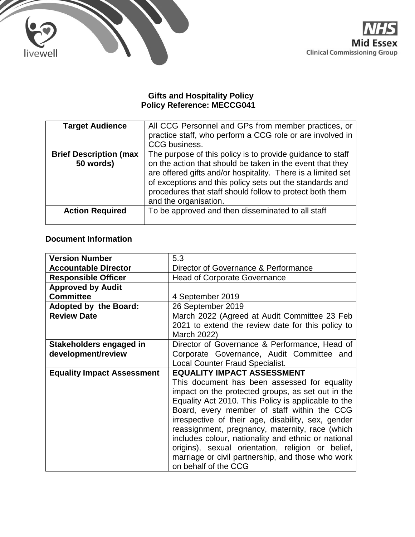



#### **Gifts and Hospitality Policy Policy Reference: MECCG041**

| <b>Target Audience</b>                     | All CCG Personnel and GPs from member practices, or<br>practice staff, who perform a CCG role or are involved in<br>CCG business.                                                                                                                                                                                                        |
|--------------------------------------------|------------------------------------------------------------------------------------------------------------------------------------------------------------------------------------------------------------------------------------------------------------------------------------------------------------------------------------------|
| <b>Brief Description (max</b><br>50 words) | The purpose of this policy is to provide guidance to staff<br>on the action that should be taken in the event that they<br>are offered gifts and/or hospitality. There is a limited set<br>of exceptions and this policy sets out the standards and<br>procedures that staff should follow to protect both them<br>and the organisation. |
| <b>Action Required</b>                     | To be approved and then disseminated to all staff                                                                                                                                                                                                                                                                                        |

## **Document Information**

| <b>Version Number</b>             | 5.3                                                 |
|-----------------------------------|-----------------------------------------------------|
| <b>Accountable Director</b>       | Director of Governance & Performance                |
| <b>Responsible Officer</b>        | <b>Head of Corporate Governance</b>                 |
| <b>Approved by Audit</b>          |                                                     |
| <b>Committee</b>                  | 4 September 2019                                    |
| <b>Adopted by the Board:</b>      | 26 September 2019                                   |
| <b>Review Date</b>                | March 2022 (Agreed at Audit Committee 23 Feb        |
|                                   | 2021 to extend the review date for this policy to   |
|                                   | March 2022)                                         |
| Stakeholders engaged in           | Director of Governance & Performance, Head of       |
| development/review                | Corporate Governance, Audit Committee and           |
|                                   | <b>Local Counter Fraud Specialist.</b>              |
| <b>Equality Impact Assessment</b> | <b>EQUALITY IMPACT ASSESSMENT</b>                   |
|                                   | This document has been assessed for equality        |
|                                   | impact on the protected groups, as set out in the   |
|                                   | Equality Act 2010. This Policy is applicable to the |
|                                   | Board, every member of staff within the CCG         |
|                                   | irrespective of their age, disability, sex, gender  |
|                                   | reassignment, pregnancy, maternity, race (which     |
|                                   | includes colour, nationality and ethnic or national |
|                                   | origins), sexual orientation, religion or belief,   |
|                                   | marriage or civil partnership, and those who work   |
|                                   | on behalf of the CCG                                |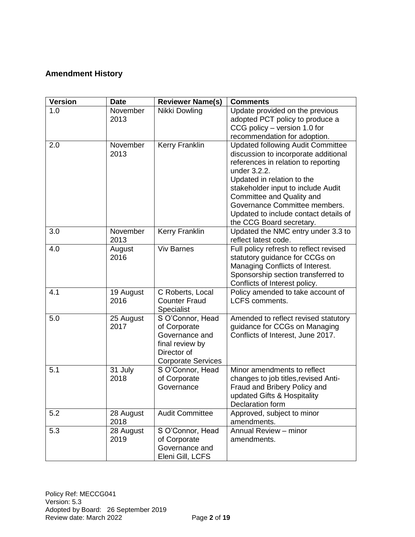### **Amendment History**

| <b>Version</b> | <b>Date</b> | <b>Reviewer Name(s)</b>                       | <b>Comments</b>                                                        |
|----------------|-------------|-----------------------------------------------|------------------------------------------------------------------------|
| 1.0            | November    | Nikki Dowling                                 | Update provided on the previous                                        |
|                | 2013        |                                               | adopted PCT policy to produce a                                        |
|                |             |                                               | CCG policy - version 1.0 for                                           |
|                |             |                                               | recommendation for adoption.                                           |
| 2.0            | November    | <b>Kerry Franklin</b>                         | <b>Updated following Audit Committee</b>                               |
|                | 2013        |                                               | discussion to incorporate additional                                   |
|                |             |                                               | references in relation to reporting                                    |
|                |             |                                               | under 3.2.2.                                                           |
|                |             |                                               | Updated in relation to the                                             |
|                |             |                                               | stakeholder input to include Audit                                     |
|                |             |                                               | Committee and Quality and                                              |
|                |             |                                               | Governance Committee members.<br>Updated to include contact details of |
|                |             |                                               | the CCG Board secretary.                                               |
| 3.0            | November    | Kerry Franklin                                | Updated the NMC entry under 3.3 to                                     |
|                | 2013        |                                               | reflect latest code.                                                   |
| 4.0            | August      | <b>Viv Barnes</b>                             | Full policy refresh to reflect revised                                 |
|                | 2016        |                                               | statutory guidance for CCGs on                                         |
|                |             |                                               | Managing Conflicts of Interest.                                        |
|                |             |                                               | Sponsorship section transferred to                                     |
|                |             |                                               | Conflicts of Interest policy.                                          |
| 4.1            | 19 August   | C Roberts, Local                              | Policy amended to take account of                                      |
|                | 2016        | <b>Counter Fraud</b>                          | <b>LCFS</b> comments.                                                  |
|                |             | Specialist                                    |                                                                        |
| 5.0            | 25 August   | S O'Connor, Head                              | Amended to reflect revised statutory                                   |
|                | 2017        | of Corporate                                  | guidance for CCGs on Managing                                          |
|                |             | Governance and                                | Conflicts of Interest, June 2017.                                      |
|                |             | final review by                               |                                                                        |
|                |             | Director of                                   |                                                                        |
| 5.1            | 31 July     | <b>Corporate Services</b><br>S O'Connor, Head | Minor amendments to reflect                                            |
|                | 2018        | of Corporate                                  | changes to job titles, revised Anti-                                   |
|                |             | Governance                                    | Fraud and Bribery Policy and                                           |
|                |             |                                               | updated Gifts & Hospitality                                            |
|                |             |                                               | Declaration form                                                       |
| 5.2            | 28 August   | <b>Audit Committee</b>                        | Approved, subject to minor                                             |
|                | 2018        |                                               | amendments.                                                            |
| 5.3            | 28 August   | S O'Connor, Head                              | Annual Review - minor                                                  |
|                | 2019        | of Corporate                                  | amendments.                                                            |
|                |             | Governance and                                |                                                                        |
|                |             | Eleni Gill, LCFS                              |                                                                        |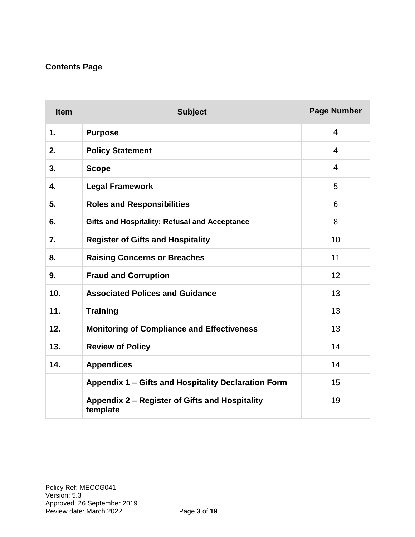# **Contents Page**

| <b>Item</b> | <b>Subject</b>                                             | <b>Page Number</b> |
|-------------|------------------------------------------------------------|--------------------|
| 1.          | <b>Purpose</b>                                             | 4                  |
| 2.          | <b>Policy Statement</b>                                    | 4                  |
| 3.          | <b>Scope</b>                                               | 4                  |
| 4.          | <b>Legal Framework</b>                                     | 5                  |
| 5.          | <b>Roles and Responsibilities</b>                          | 6                  |
| 6.          | <b>Gifts and Hospitality: Refusal and Acceptance</b>       | 8                  |
| 7.          | <b>Register of Gifts and Hospitality</b>                   | 10                 |
| 8.          | <b>Raising Concerns or Breaches</b>                        | 11                 |
| 9.          | <b>Fraud and Corruption</b>                                | 12                 |
| 10.         | <b>Associated Polices and Guidance</b>                     | 13                 |
| 11.         | <b>Training</b>                                            | 13                 |
| 12.         | <b>Monitoring of Compliance and Effectiveness</b>          | 13                 |
| 13.         | <b>Review of Policy</b>                                    | 14                 |
| 14.         | <b>Appendices</b>                                          | 14                 |
|             | Appendix 1 - Gifts and Hospitality Declaration Form        | 15                 |
|             | Appendix 2 – Register of Gifts and Hospitality<br>template | 19                 |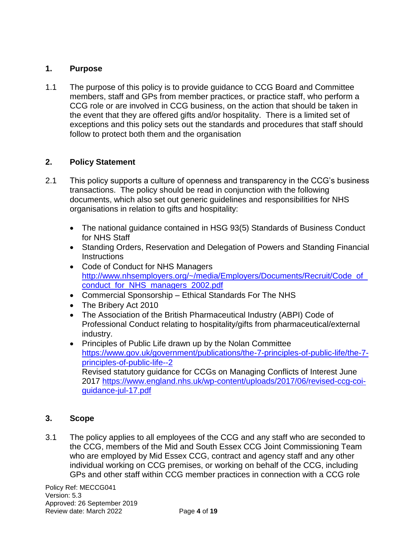### **1. Purpose**

1.1 The purpose of this policy is to provide guidance to CCG Board and Committee members, staff and GPs from member practices, or practice staff, who perform a CCG role or are involved in CCG business, on the action that should be taken in the event that they are offered gifts and/or hospitality. There is a limited set of exceptions and this policy sets out the standards and procedures that staff should follow to protect both them and the organisation

### **2. Policy Statement**

- 2.1 This policy supports a culture of openness and transparency in the CCG's business transactions. The policy should be read in conjunction with the following documents, which also set out generic guidelines and responsibilities for NHS organisations in relation to gifts and hospitality:
	- The national guidance contained in HSG 93(5) Standards of Business Conduct for NHS Staff
	- Standing Orders, Reservation and Delegation of Powers and Standing Financial **Instructions**
	- Code of Conduct for NHS Managers [http://www.nhsemployers.org/~/media/Employers/Documents/Recruit/Code\\_of\\_](http://www.nhsemployers.org/~/media/Employers/Documents/Recruit/Code_of_conduct_for_NHS_managers_2002.pdf) [conduct\\_for\\_NHS\\_managers\\_2002.pdf](http://www.nhsemployers.org/~/media/Employers/Documents/Recruit/Code_of_conduct_for_NHS_managers_2002.pdf)
	- Commercial Sponsorship Ethical Standards For The NHS
	- The Bribery Act 2010
	- The Association of the British Pharmaceutical Industry (ABPI) Code of Professional Conduct relating to hospitality/gifts from pharmaceutical/external industry.
	- Principles of Public Life drawn up by the Nolan Committee [https://www.gov.uk/government/publications/the-7-principles-of-public-life/the-7](https://www.gov.uk/government/publications/the-7-principles-of-public-life/the-7-principles-of-public-life--2) [principles-of-public-life--2](https://www.gov.uk/government/publications/the-7-principles-of-public-life/the-7-principles-of-public-life--2)  Revised statutory guidance for CCGs on Managing Conflicts of Interest June 2017 [https://www.england.nhs.uk/wp-content/uploads/2017/06/revised-ccg-coi](https://www.england.nhs.uk/wp-content/uploads/2017/06/revised-ccg-coi-guidance-jul-17.pdf)[guidance-jul-17.pdf](https://www.england.nhs.uk/wp-content/uploads/2017/06/revised-ccg-coi-guidance-jul-17.pdf)

### **3. Scope**

3.1 The policy applies to all employees of the CCG and any staff who are seconded to the CCG, members of the Mid and South Essex CCG Joint Commissioning Team who are employed by Mid Essex CCG, contract and agency staff and any other individual working on CCG premises, or working on behalf of the CCG, including GPs and other staff within CCG member practices in connection with a CCG role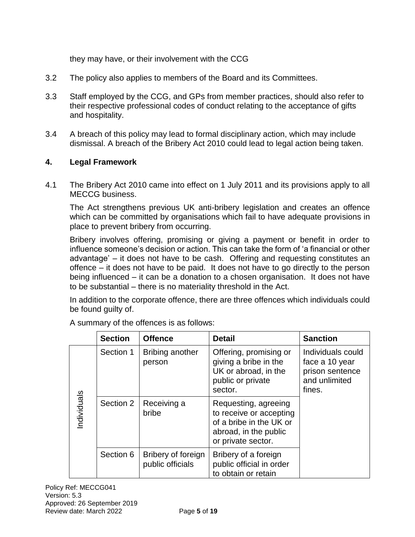they may have, or their involvement with the CCG

- 3.2 The policy also applies to members of the Board and its Committees.
- 3.3 Staff employed by the CCG, and GPs from member practices, should also refer to their respective professional codes of conduct relating to the acceptance of gifts and hospitality.
- 3.4 A breach of this policy may lead to formal disciplinary action, which may include dismissal. A breach of the Bribery Act 2010 could lead to legal action being taken.

### **4. Legal Framework**

4.1 The Bribery Act 2010 came into effect on 1 July 2011 and its provisions apply to all MECCG business.

The Act strengthens previous UK anti-bribery legislation and creates an offence which can be committed by organisations which fail to have adequate provisions in place to prevent bribery from occurring.

Bribery involves offering, promising or giving a payment or benefit in order to influence someone's decision or action. This can take the form of 'a financial or other advantage' – it does not have to be cash. Offering and requesting constitutes an offence – it does not have to be paid. It does not have to go directly to the person being influenced – it can be a donation to a chosen organisation. It does not have to be substantial – there is no materiality threshold in the Act.

In addition to the corporate offence, there are three offences which individuals could be found guilty of.

|            | <b>Section</b>                                      | <b>Offence</b>       | <b>Detail</b>                                                                                                             | <b>Sanction</b>                                                                   |
|------------|-----------------------------------------------------|----------------------|---------------------------------------------------------------------------------------------------------------------------|-----------------------------------------------------------------------------------|
|            | Section 1<br>person                                 | Bribing another      | Offering, promising or<br>giving a bribe in the<br>UK or abroad, in the<br>public or private<br>sector.                   | Individuals could<br>face a 10 year<br>prison sentence<br>and unlimited<br>fines. |
| ndividuals | Section 2                                           | Receiving a<br>bribe | Requesting, agreeing<br>to receive or accepting<br>of a bribe in the UK or<br>abroad, in the public<br>or private sector. |                                                                                   |
|            | Section 6<br>Bribery of foreign<br>public officials |                      | Bribery of a foreign<br>public official in order<br>to obtain or retain                                                   |                                                                                   |

A summary of the offences is as follows: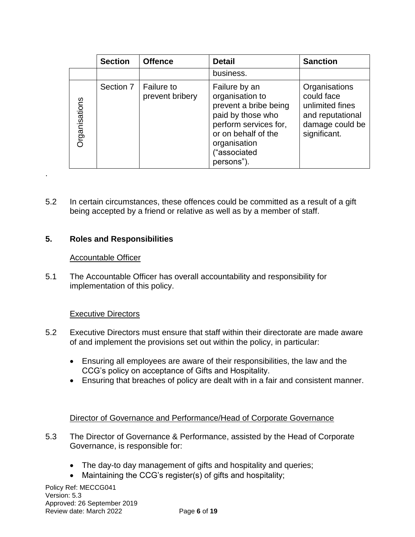|                      | <b>Section</b> | <b>Offence</b>                       | <b>Detail</b>                                                                                                                                                                | <b>Sanction</b>                                                                                       |
|----------------------|----------------|--------------------------------------|------------------------------------------------------------------------------------------------------------------------------------------------------------------------------|-------------------------------------------------------------------------------------------------------|
|                      |                |                                      | business.                                                                                                                                                                    |                                                                                                       |
| <b>Organisations</b> | Section 7      | <b>Failure to</b><br>prevent bribery | Failure by an<br>organisation to<br>prevent a bribe being<br>paid by those who<br>perform services for,<br>or on behalf of the<br>organisation<br>("associated<br>persons"). | Organisations<br>could face<br>unlimited fines<br>and reputational<br>damage could be<br>significant. |

5.2 In certain circumstances, these offences could be committed as a result of a gift being accepted by a friend or relative as well as by a member of staff.

### **5. Roles and Responsibilities**

#### Accountable Officer

.

5.1 The Accountable Officer has overall accountability and responsibility for implementation of this policy.

### Executive Directors

- 5.2 Executive Directors must ensure that staff within their directorate are made aware of and implement the provisions set out within the policy, in particular:
	- Ensuring all employees are aware of their responsibilities, the law and the CCG's policy on acceptance of Gifts and Hospitality.
	- Ensuring that breaches of policy are dealt with in a fair and consistent manner.

#### Director of Governance and Performance/Head of Corporate Governance

- 5.3 The Director of Governance & Performance, assisted by the Head of Corporate Governance, is responsible for:
	- The day-to day management of gifts and hospitality and queries;
	- Maintaining the CCG's register(s) of gifts and hospitality;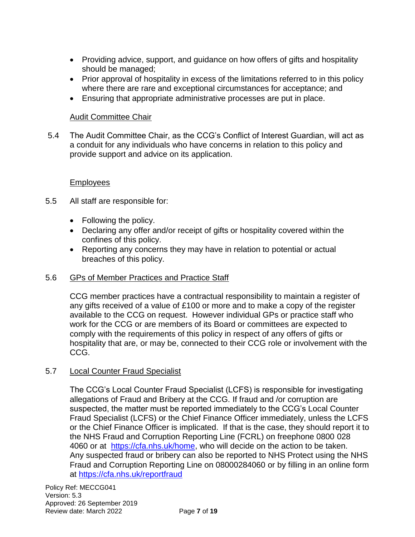- Providing advice, support, and guidance on how offers of gifts and hospitality should be managed;
- Prior approval of hospitality in excess of the limitations referred to in this policy where there are rare and exceptional circumstances for acceptance; and
- Ensuring that appropriate administrative processes are put in place.

### Audit Committee Chair

5.4 The Audit Committee Chair, as the CCG's Conflict of Interest Guardian, will act as a conduit for any individuals who have concerns in relation to this policy and provide support and advice on its application.

#### Employees

- 5.5 All staff are responsible for:
	- Following the policy.
	- Declaring any offer and/or receipt of gifts or hospitality covered within the confines of this policy.
	- Reporting any concerns they may have in relation to potential or actual breaches of this policy.

#### 5.6 GPs of Member Practices and Practice Staff

CCG member practices have a contractual responsibility to maintain a register of any gifts received of a value of £100 or more and to make a copy of the register available to the CCG on request. However individual GPs or practice staff who work for the CCG or are members of its Board or committees are expected to comply with the requirements of this policy in respect of any offers of gifts or hospitality that are, or may be, connected to their CCG role or involvement with the CCG.

### 5.7 Local Counter Fraud Specialist

The CCG's Local Counter Fraud Specialist (LCFS) is responsible for investigating allegations of Fraud and Bribery at the CCG. If fraud and /or corruption are suspected, the matter must be reported immediately to the CCG's Local Counter Fraud Specialist (LCFS) or the Chief Finance Officer immediately, unless the LCFS or the Chief Finance Officer is implicated. If that is the case, they should report it to the NHS Fraud and Corruption Reporting Line (FCRL) on freephone 0800 028 4060 or at [https://cfa.nhs.uk/home,](https://cfa.nhs.uk/home) who will decide on the action to be taken. Any suspected fraud or bribery can also be reported to NHS Protect using the NHS Fraud and Corruption Reporting Line on 08000284060 or by filling in an online form at<https://cfa.nhs.uk/reportfraud>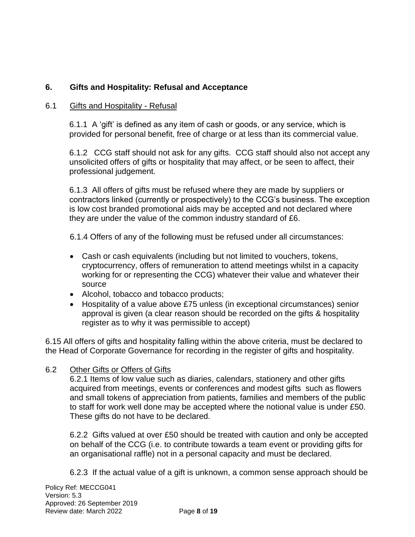## **6. Gifts and Hospitality: Refusal and Acceptance**

#### 6.1 Gifts and Hospitality - Refusal

6.1.1 A 'gift' is defined as any item of cash or goods, or any service, which is provided for personal benefit, free of charge or at less than its commercial value.

6.1.2 CCG staff should not ask for any gifts. CCG staff should also not accept any unsolicited offers of gifts or hospitality that may affect, or be seen to affect, their professional judgement.

6.1.3 All offers of gifts must be refused where they are made by suppliers or contractors linked (currently or prospectively) to the CCG's business. The exception is low cost branded promotional aids may be accepted and not declared where they are under the value of the common industry standard of £6.

6.1.4 Offers of any of the following must be refused under all circumstances:

- Cash or cash equivalents (including but not limited to vouchers, tokens, cryptocurrency, offers of remuneration to attend meetings whilst in a capacity working for or representing the CCG) whatever their value and whatever their source
- Alcohol, tobacco and tobacco products;
- Hospitality of a value above £75 unless (in exceptional circumstances) senior approval is given (a clear reason should be recorded on the gifts & hospitality register as to why it was permissible to accept)

6.15 All offers of gifts and hospitality falling within the above criteria, must be declared to the Head of Corporate Governance for recording in the register of gifts and hospitality.

#### 6.2 Other Gifts or Offers of Gifts

6.2.1 Items of low value such as diaries, calendars, stationery and other gifts acquired from meetings, events or conferences and modest gifts such as flowers and small tokens of appreciation from patients, families and members of the public to staff for work well done may be accepted where the notional value is under £50. These gifts do not have to be declared.

6.2.2 Gifts valued at over £50 should be treated with caution and only be accepted on behalf of the CCG (i.e. to contribute towards a team event or providing gifts for an organisational raffle) not in a personal capacity and must be declared.

6.2.3 If the actual value of a gift is unknown, a common sense approach should be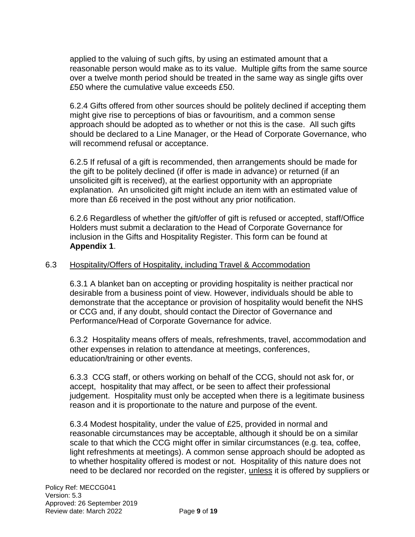applied to the valuing of such gifts, by using an estimated amount that a reasonable person would make as to its value. Multiple gifts from the same source over a twelve month period should be treated in the same way as single gifts over £50 where the cumulative value exceeds £50.

6.2.4 Gifts offered from other sources should be politely declined if accepting them might give rise to perceptions of bias or favouritism, and a common sense approach should be adopted as to whether or not this is the case. All such gifts should be declared to a Line Manager, or the Head of Corporate Governance, who will recommend refusal or acceptance.

6.2.5 If refusal of a gift is recommended, then arrangements should be made for the gift to be politely declined (if offer is made in advance) or returned (if an unsolicited gift is received), at the earliest opportunity with an appropriate explanation. An unsolicited gift might include an item with an estimated value of more than £6 received in the post without any prior notification.

6.2.6 Regardless of whether the gift/offer of gift is refused or accepted, staff/Office Holders must submit a declaration to the Head of Corporate Governance for inclusion in the Gifts and Hospitality Register. This form can be found at **Appendix 1**.

#### 6.3 Hospitality/Offers of Hospitality, including Travel & Accommodation

6.3.1 A blanket ban on accepting or providing hospitality is neither practical nor desirable from a business point of view. However, individuals should be able to demonstrate that the acceptance or provision of hospitality would benefit the NHS or CCG and, if any doubt, should contact the Director of Governance and Performance/Head of Corporate Governance for advice.

6.3.2 Hospitality means offers of meals, refreshments, travel, accommodation and other expenses in relation to attendance at meetings, conferences, education/training or other events.

6.3.3 CCG staff, or others working on behalf of the CCG, should not ask for, or accept, hospitality that may affect, or be seen to affect their professional judgement. Hospitality must only be accepted when there is a legitimate business reason and it is proportionate to the nature and purpose of the event.

6.3.4 Modest hospitality, under the value of £25, provided in normal and reasonable circumstances may be acceptable, although it should be on a similar scale to that which the CCG might offer in similar circumstances (e.g. tea, coffee, light refreshments at meetings). A common sense approach should be adopted as to whether hospitality offered is modest or not. Hospitality of this nature does not need to be declared nor recorded on the register, unless it is offered by suppliers or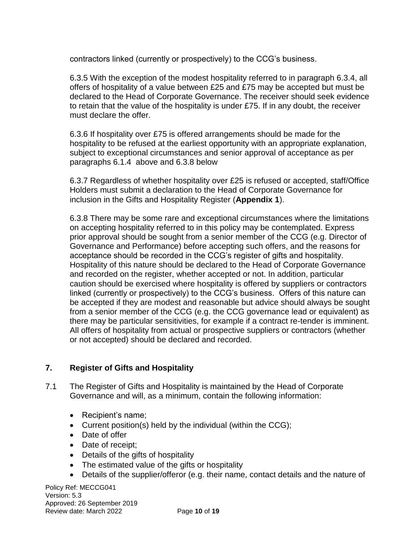contractors linked (currently or prospectively) to the CCG's business.

6.3.5 With the exception of the modest hospitality referred to in paragraph 6.3.4, all offers of hospitality of a value between £25 and £75 may be accepted but must be declared to the Head of Corporate Governance. The receiver should seek evidence to retain that the value of the hospitality is under £75. If in any doubt, the receiver must declare the offer.

6.3.6 If hospitality over £75 is offered arrangements should be made for the hospitality to be refused at the earliest opportunity with an appropriate explanation, subject to exceptional circumstances and senior approval of acceptance as per paragraphs 6.1.4 above and 6.3.8 below

6.3.7 Regardless of whether hospitality over £25 is refused or accepted, staff/Office Holders must submit a declaration to the Head of Corporate Governance for inclusion in the Gifts and Hospitality Register (**Appendix 1**).

6.3.8 There may be some rare and exceptional circumstances where the limitations on accepting hospitality referred to in this policy may be contemplated. Express prior approval should be sought from a senior member of the CCG (e.g. Director of Governance and Performance) before accepting such offers, and the reasons for acceptance should be recorded in the CCG's register of gifts and hospitality. Hospitality of this nature should be declared to the Head of Corporate Governance and recorded on the register, whether accepted or not. In addition, particular caution should be exercised where hospitality is offered by suppliers or contractors linked (currently or prospectively) to the CCG's business. Offers of this nature can be accepted if they are modest and reasonable but advice should always be sought from a senior member of the CCG (e.g. the CCG governance lead or equivalent) as there may be particular sensitivities, for example if a contract re-tender is imminent. All offers of hospitality from actual or prospective suppliers or contractors (whether or not accepted) should be declared and recorded.

### **7. Register of Gifts and Hospitality**

- 7.1 The Register of Gifts and Hospitality is maintained by the Head of Corporate Governance and will, as a minimum, contain the following information:
	- Recipient's name;
	- Current position(s) held by the individual (within the CCG);
	- Date of offer
	- Date of receipt:
	- Details of the gifts of hospitality
	- The estimated value of the gifts or hospitality
	- Details of the supplier/offeror (e.g. their name, contact details and the nature of

Policy Ref: MECCG041 Version: 5.3 Approved: 26 September 2019 Review date: March 2022 Page **10** of **19**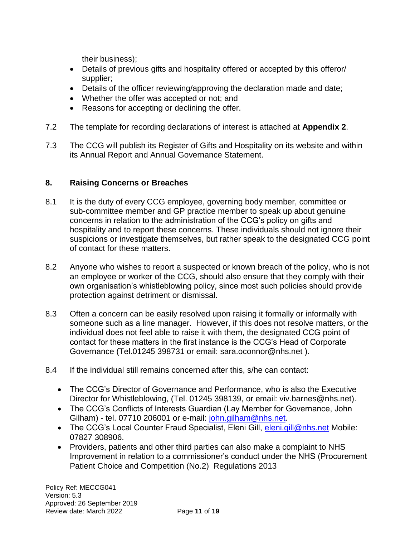their business);

- Details of previous gifts and hospitality offered or accepted by this offeror/ supplier;
- Details of the officer reviewing/approving the declaration made and date;
- Whether the offer was accepted or not; and
- Reasons for accepting or declining the offer.
- 7.2 The template for recording declarations of interest is attached at **Appendix 2**.
- 7.3 The CCG will publish its Register of Gifts and Hospitality on its website and within its Annual Report and Annual Governance Statement.

### **8. Raising Concerns or Breaches**

- 8.1 It is the duty of every CCG employee, governing body member, committee or sub-committee member and GP practice member to speak up about genuine concerns in relation to the administration of the CCG's policy on gifts and hospitality and to report these concerns. These individuals should not ignore their suspicions or investigate themselves, but rather speak to the designated CCG point of contact for these matters.
- 8.2 Anyone who wishes to report a suspected or known breach of the policy, who is not an employee or worker of the CCG, should also ensure that they comply with their own organisation's whistleblowing policy, since most such policies should provide protection against detriment or dismissal.
- 8.3 Often a concern can be easily resolved upon raising it formally or informally with someone such as a line manager. However, if this does not resolve matters, or the individual does not feel able to raise it with them, the designated CCG point of contact for these matters in the first instance is the CCG's Head of Corporate Governance (Tel.01245 398731 or email: sara.oconnor@nhs.net ).
- 8.4 If the individual still remains concerned after this, s/he can contact:
	- The CCG's Director of Governance and Performance, who is also the Executive Director for Whistleblowing, (Tel. 01245 398139, or email: viv.barnes@nhs.net).
	- The CCG's Conflicts of Interests Guardian (Lay Member for Governance, John Gilham) - tel. 07710 206001 or e-mail: [john.gilham@nhs.net.](mailto:john.gilham@nhs.net)
	- The CCG's Local Counter Fraud Specialist, Eleni Gill, [eleni.gill@nhs.net](mailto:eleni.gill@nhs.net) Mobile: 07827 308906.
	- Providers, patients and other third parties can also make a complaint to NHS Improvement in relation to a commissioner's conduct under the NHS (Procurement Patient Choice and Competition (No.2) Regulations 2013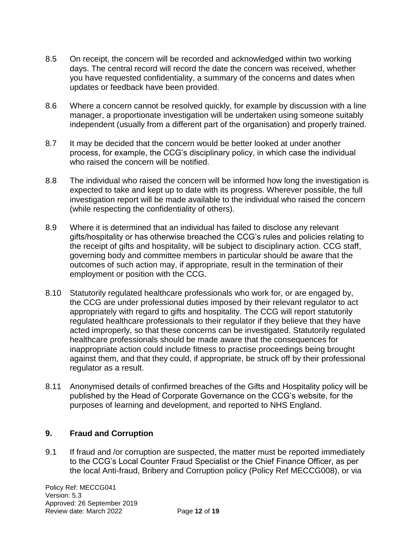- 8.5 On receipt, the concern will be recorded and acknowledged within two working days. The central record will record the date the concern was received, whether you have requested confidentiality, a summary of the concerns and dates when updates or feedback have been provided.
- 8.6 Where a concern cannot be resolved quickly, for example by discussion with a line manager, a proportionate investigation will be undertaken using someone suitably independent (usually from a different part of the organisation) and properly trained.
- 8.7 It may be decided that the concern would be better looked at under another process, for example, the CCG's disciplinary policy, in which case the individual who raised the concern will be notified.
- 8.8 The individual who raised the concern will be informed how long the investigation is expected to take and kept up to date with its progress. Wherever possible, the full investigation report will be made available to the individual who raised the concern (while respecting the confidentiality of others).
- 8.9 Where it is determined that an individual has failed to disclose any relevant gifts/hospitality or has otherwise breached the CCG's rules and policies relating to the receipt of gifts and hospitality, will be subject to disciplinary action. CCG staff, governing body and committee members in particular should be aware that the outcomes of such action may, if appropriate, result in the termination of their employment or position with the CCG.
- 8.10 Statutorily regulated healthcare professionals who work for, or are engaged by, the CCG are under professional duties imposed by their relevant regulator to act appropriately with regard to gifts and hospitality. The CCG will report statutorily regulated healthcare professionals to their regulator if they believe that they have acted improperly, so that these concerns can be investigated. Statutorily regulated healthcare professionals should be made aware that the consequences for inappropriate action could include fitness to practise proceedings being brought against them, and that they could, if appropriate, be struck off by their professional regulator as a result.
- 8.11 Anonymised details of confirmed breaches of the Gifts and Hospitality policy will be published by the Head of Corporate Governance on the CCG's website, for the purposes of learning and development, and reported to NHS England.

### **9. Fraud and Corruption**

9.1 If fraud and /or corruption are suspected, the matter must be reported immediately to the CCG's Local Counter Fraud Specialist or the Chief Finance Officer, as per the local Anti-fraud, Bribery and Corruption policy (Policy Ref MECCG008), or via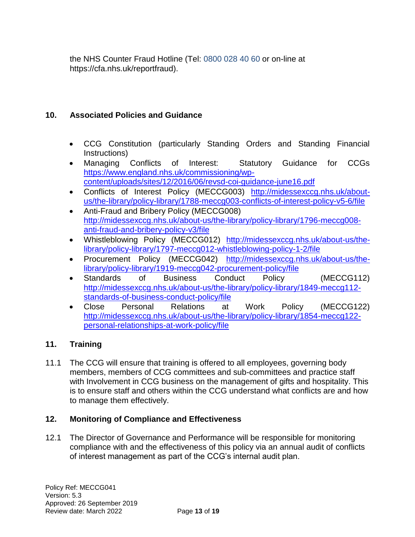the NHS Counter Fraud Hotline (Tel: 0800 028 40 60 or on-line at https://cfa.nhs.uk/reportfraud).

### **10. Associated Policies and Guidance**

- CCG Constitution (particularly Standing Orders and Standing Financial Instructions)
- Managing Conflicts of Interest: Statutory Guidance for CCGs [https://www.england.nhs.uk/commissioning/wp](https://www.england.nhs.uk/commissioning/wp-content/uploads/sites/12/2016/06/revsd-coi-guidance-june16.pdf)[content/uploads/sites/12/2016/06/revsd-coi-guidance-june16.pdf](https://www.england.nhs.uk/commissioning/wp-content/uploads/sites/12/2016/06/revsd-coi-guidance-june16.pdf)
- Conflicts of Interest Policy (MECCG003) [http://midessexccg.nhs.uk/about](http://midessexccg.nhs.uk/about-us/the-library/policy-library/1788-meccg003-conflicts-of-interest-policy-v5-6/file)[us/the-library/policy-library/1788-meccg003-conflicts-of-interest-policy-v5-6/file](http://midessexccg.nhs.uk/about-us/the-library/policy-library/1788-meccg003-conflicts-of-interest-policy-v5-6/file)
- Anti-Fraud and Bribery Policy (MECCG008) [http://midessexccg.nhs.uk/about-us/the-library/policy-library/1796-meccg008](http://midessexccg.nhs.uk/about-us/the-library/policy-library/1796-meccg008-anti-fraud-and-bribery-policy-v3/file) [anti-fraud-and-bribery-policy-v3/file](http://midessexccg.nhs.uk/about-us/the-library/policy-library/1796-meccg008-anti-fraud-and-bribery-policy-v3/file)
- Whistleblowing Policy (MECCG012) [http://midessexccg.nhs.uk/about-us/the](http://midessexccg.nhs.uk/about-us/the-library/policy-library/1797-meccg012-whistleblowing-policy-1-2/file)[library/policy-library/1797-meccg012-whistleblowing-policy-1-2/file](http://midessexccg.nhs.uk/about-us/the-library/policy-library/1797-meccg012-whistleblowing-policy-1-2/file)
- Procurement Policy (MECCG042) [http://midessexccg.nhs.uk/about-us/the](http://midessexccg.nhs.uk/about-us/the-library/policy-library/1919-meccg042-procurement-policy/file)[library/policy-library/1919-meccg042-procurement-policy/file](http://midessexccg.nhs.uk/about-us/the-library/policy-library/1919-meccg042-procurement-policy/file)
- Standards of Business Conduct Policy (MECCG112) [http://midessexccg.nhs.uk/about-us/the-library/policy-library/1849-meccg112](http://midessexccg.nhs.uk/about-us/the-library/policy-library/1849-meccg112-standards-of-business-conduct-policy/file) [standards-of-business-conduct-policy/file](http://midessexccg.nhs.uk/about-us/the-library/policy-library/1849-meccg112-standards-of-business-conduct-policy/file)
- Close Personal Relations at Work Policy (MECCG122) [http://midessexccg.nhs.uk/about-us/the-library/policy-library/1854-meccg122](http://midessexccg.nhs.uk/about-us/the-library/policy-library/1854-meccg122-personal-relationships-at-work-policy/file) [personal-relationships-at-work-policy/file](http://midessexccg.nhs.uk/about-us/the-library/policy-library/1854-meccg122-personal-relationships-at-work-policy/file)

### **11. Training**

11.1 The CCG will ensure that training is offered to all employees, governing body members, members of CCG committees and sub-committees and practice staff with Involvement in CCG business on the management of gifts and hospitality. This is to ensure staff and others within the CCG understand what conflicts are and how to manage them effectively.

### **12. Monitoring of Compliance and Effectiveness**

12.1 The Director of Governance and Performance will be responsible for monitoring compliance with and the effectiveness of this policy via an annual audit of conflicts of interest management as part of the CCG's internal audit plan.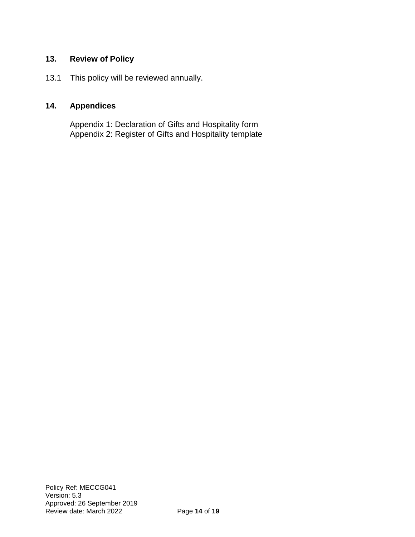### **13. Review of Policy**

13.1 This policy will be reviewed annually.

### **14. Appendices**

Appendix 1: Declaration of Gifts and Hospitality form Appendix 2: Register of Gifts and Hospitality template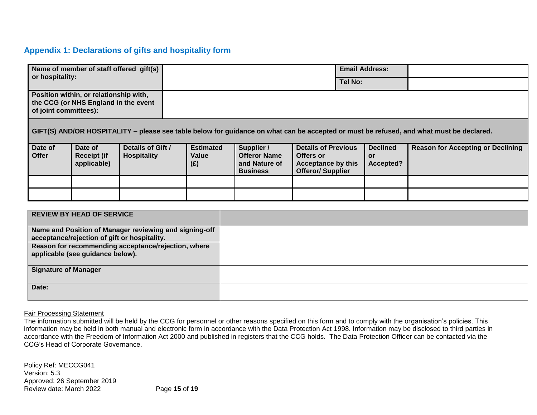#### **Appendix 1: Declarations of gifts and hospitality form**

| Name of member of staff offered gift(s)<br>or hospitality:                                                                              |                                         |                                  |                                                                       |                                                                                                 | <b>Email Address:</b> |                                           |                                          |
|-----------------------------------------------------------------------------------------------------------------------------------------|-----------------------------------------|----------------------------------|-----------------------------------------------------------------------|-------------------------------------------------------------------------------------------------|-----------------------|-------------------------------------------|------------------------------------------|
|                                                                                                                                         |                                         |                                  |                                                                       |                                                                                                 | <b>Tel No:</b>        |                                           |                                          |
| Position within, or relationship with,<br>the CCG (or NHS England in the event<br>of joint committees):                                 |                                         |                                  |                                                                       |                                                                                                 |                       |                                           |                                          |
| GIFT(S) AND/OR HOSPITALITY - please see table below for guidance on what can be accepted or must be refused, and what must be declared. |                                         |                                  |                                                                       |                                                                                                 |                       |                                           |                                          |
| Date of<br>Date of<br>Offer<br><b>Receipt (if</b><br>applicable)                                                                        | Details of Gift /<br><b>Hospitality</b> | <b>Estimated</b><br>Value<br>(E) | Supplier /<br><b>Offeror Name</b><br>and Nature of<br><b>Business</b> | <b>Details of Previous</b><br>Offers or<br><b>Acceptance by this</b><br><b>Offeror/Supplier</b> |                       | <b>Declined</b><br><b>or</b><br>Accepted? | <b>Reason for Accepting or Declining</b> |
|                                                                                                                                         |                                         |                                  |                                                                       |                                                                                                 |                       |                                           |                                          |
|                                                                                                                                         |                                         |                                  |                                                                       |                                                                                                 |                       |                                           |                                          |
| <b>DEVIEW BY UFAB OF SEBVICE</b>                                                                                                        |                                         |                                  |                                                                       |                                                                                                 |                       |                                           |                                          |

| <b>REVIEW BY HEAD OF SERVICE</b>                                                                       |  |
|--------------------------------------------------------------------------------------------------------|--|
| Name and Position of Manager reviewing and signing-off<br>acceptance/rejection of gift or hospitality. |  |
| Reason for recommending acceptance/rejection, where<br>applicable (see guidance below).                |  |
| Signature of Manager                                                                                   |  |
| Date:                                                                                                  |  |

#### Fair Processing Statement

The information submitted will be held by the CCG for personnel or other reasons specified on this form and to comply with the organisation's policies. This information may be held in both manual and electronic form in accordance with the Data Protection Act 1998. Information may be disclosed to third parties in accordance with the Freedom of Information Act 2000 and published in registers that the CCG holds. The Data Protection Officer can be contacted via the CCG's Head of Corporate Governance.

Policy Ref: MECCG041 Version: 5.3 Approved: 26 September 2019 Review date: March 2022 Page **15** of **19**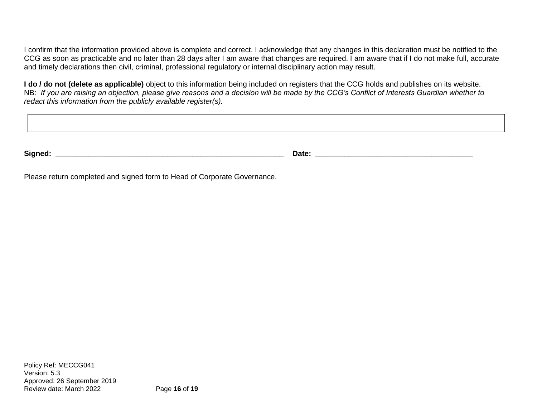I confirm that the information provided above is complete and correct. I acknowledge that any changes in this declaration must be notified to the CCG as soon as practicable and no later than 28 days after I am aware that changes are required. I am aware that if I do not make full, accurate and timely declarations then civil, criminal, professional regulatory or internal disciplinary action may result.

**I do / do not (delete as applicable)** object to this information being included on registers that the CCG holds and publishes on its website. NB: *If you are raising an objection, please give reasons and a decision will be made by the CCG's Conflict of Interests Guardian whether to redact this information from the publicly available register(s).*

| $\sim$ $\sim$ | Date |
|---------------|------|
| Nanan         |      |

Please return completed and signed form to Head of Corporate Governance.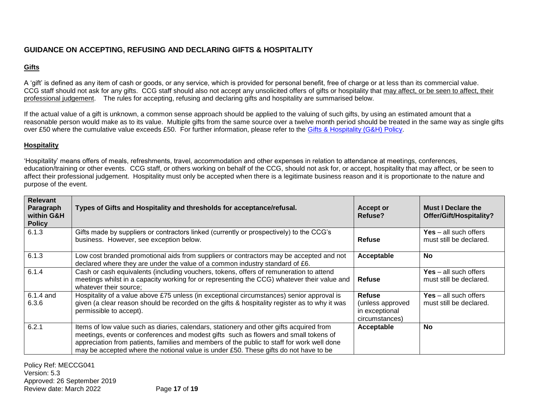### **GUIDANCE ON ACCEPTING, REFUSING AND DECLARING GIFTS & HOSPITALITY**

#### **Gifts**

A 'gift' is defined as any item of cash or goods, or any service, which is provided for personal benefit, free of charge or at less than its commercial value. CCG staff should not ask for any gifts. CCG staff should also not accept any unsolicited offers of gifts or hospitality that may affect, or be seen to affect, their professional judgement. The rules for accepting, refusing and declaring gifts and hospitality are summarised below.

If the actual value of a gift is unknown, a common sense approach should be applied to the valuing of such gifts, by using an estimated amount that a reasonable person would make as to its value. Multiple gifts from the same source over a twelve month period should be treated in the same way as single gifts over £50 where the cumulative value exceeds £50. For further information, please refer to the [Gifts & Hospitality \(G&H\) Policy.](mailto:http://midessexccg.nhs.uk/about-us/the-library/policy-library/corporate-policies)

#### **Hospitality**

'Hospitality' means offers of meals, refreshments, travel, accommodation and other expenses in relation to attendance at meetings, conferences, education/training or other events. CCG staff, or others working on behalf of the CCG, should not ask for, or accept, hospitality that may affect, or be seen to affect their professional judgement. Hospitality must only be accepted when there is a legitimate business reason and it is proportionate to the nature and purpose of the event.

| <b>Relevant</b><br>Paragraph<br>within G&H<br><b>Policy</b> | Types of Gifts and Hospitality and thresholds for acceptance/refusal.                                                                                                                                                                                                                                                                                                 | <b>Accept or</b><br>Refuse?                                           | Must I Declare the<br>Offer/Gift/Hospitality?             |
|-------------------------------------------------------------|-----------------------------------------------------------------------------------------------------------------------------------------------------------------------------------------------------------------------------------------------------------------------------------------------------------------------------------------------------------------------|-----------------------------------------------------------------------|-----------------------------------------------------------|
| 6.1.3                                                       | Gifts made by suppliers or contractors linked (currently or prospectively) to the CCG's<br>business. However, see exception below.                                                                                                                                                                                                                                    | <b>Refuse</b>                                                         | Yes $-$ all such offers<br>must still be declared.        |
| 6.1.3                                                       | Low cost branded promotional aids from suppliers or contractors may be accepted and not<br>declared where they are under the value of a common industry standard of £6.                                                                                                                                                                                               | Acceptable                                                            | <b>No</b>                                                 |
| 6.1.4                                                       | Cash or cash equivalents (including vouchers, tokens, offers of remuneration to attend<br>meetings whilst in a capacity working for or representing the CCG) whatever their value and<br>whatever their source;                                                                                                                                                       | <b>Refuse</b>                                                         | $Yes - all such offers$<br>must still be declared.        |
| $6.1.4$ and<br>6.3.6                                        | Hospitality of a value above £75 unless (in exceptional circumstances) senior approval is<br>given (a clear reason should be recorded on the gifts & hospitality register as to why it was<br>permissible to accept).                                                                                                                                                 | <b>Refuse</b><br>(unless approved<br>in exceptional<br>circumstances) | <b>Yes</b> $-$ all such offers<br>must still be declared. |
| 6.2.1                                                       | Items of low value such as diaries, calendars, stationery and other gifts acquired from<br>meetings, events or conferences and modest gifts such as flowers and small tokens of<br>appreciation from patients, families and members of the public to staff for work well done<br>may be accepted where the notional value is under £50. These gifts do not have to be | Acceptable                                                            | No                                                        |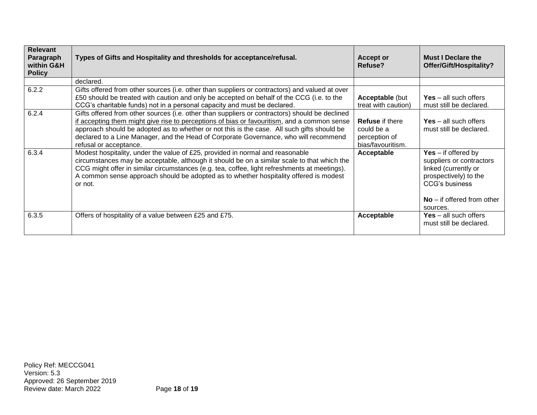| <b>Relevant</b><br>Paragraph<br>within G&H<br><b>Policy</b> | Types of Gifts and Hospitality and thresholds for acceptance/refusal.                                                                                                                                                                                                                                                                                                                                         | <b>Accept or</b><br>Refuse?                                                | <b>Must I Declare the</b><br>Offer/Gift/Hospitality?                                                                                                                    |
|-------------------------------------------------------------|---------------------------------------------------------------------------------------------------------------------------------------------------------------------------------------------------------------------------------------------------------------------------------------------------------------------------------------------------------------------------------------------------------------|----------------------------------------------------------------------------|-------------------------------------------------------------------------------------------------------------------------------------------------------------------------|
|                                                             | declared.                                                                                                                                                                                                                                                                                                                                                                                                     |                                                                            |                                                                                                                                                                         |
| 6.2.2                                                       | Gifts offered from other sources (i.e. other than suppliers or contractors) and valued at over<br>£50 should be treated with caution and only be accepted on behalf of the CCG (i.e. to the<br>CCG's charitable funds) not in a personal capacity and must be declared.                                                                                                                                       | <b>Acceptable (but</b><br>treat with caution)                              | <b>Yes</b> – all such offers<br>must still be declared.                                                                                                                 |
| 6.2.4                                                       | Gifts offered from other sources (i.e. other than suppliers or contractors) should be declined<br>if accepting them might give rise to perceptions of bias or favouritism, and a common sense<br>approach should be adopted as to whether or not this is the case. All such gifts should be<br>declared to a Line Manager, and the Head of Corporate Governance, who will recommend<br>refusal or acceptance. | <b>Refuse</b> if there<br>could be a<br>perception of<br>bias/favouritism. | $Yes - all such offers$<br>must still be declared.                                                                                                                      |
| 6.3.4                                                       | Modest hospitality, under the value of £25, provided in normal and reasonable<br>circumstances may be acceptable, although it should be on a similar scale to that which the<br>CCG might offer in similar circumstances (e.g. tea, coffee, light refreshments at meetings).<br>A common sense approach should be adopted as to whether hospitality offered is modest<br>or not.                              | Acceptable                                                                 | $Yes - if offered by$<br>suppliers or contractors<br>linked (currently or<br>prospectively) to the<br><b>CCG's business</b><br>$No$ – if offered from other<br>sources. |
| 6.3.5                                                       | Offers of hospitality of a value between £25 and £75.                                                                                                                                                                                                                                                                                                                                                         | Acceptable                                                                 | <b>Yes</b> – all such offers<br>must still be declared.                                                                                                                 |